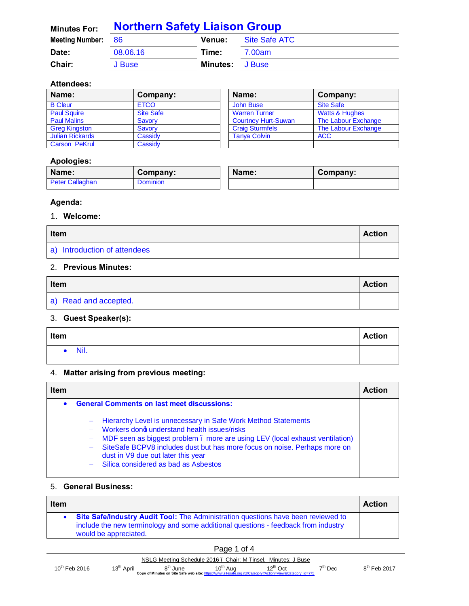| <b>Minutes For:</b>    | <b>Northern Safety Liaison Group</b> |               |               |  |
|------------------------|--------------------------------------|---------------|---------------|--|
| <b>Meeting Number:</b> | - 86                                 | <b>Venue:</b> | Site Safe ATC |  |
| Date:                  | 08.06.16                             | Time:         | 7.00am        |  |
| Chair:                 | J Buse                               | Minutes:      | J Buse        |  |

#### **Attendees:**

| Name:                  | Company:         | Name:                      | Company:                  |
|------------------------|------------------|----------------------------|---------------------------|
| <b>B</b> Cleur         | <b>ETCO</b>      | John Buse                  | Site Safe                 |
| <b>Paul Squire</b>     | <b>Site Safe</b> | <b>Warren Turner</b>       | <b>Watts &amp; Hughes</b> |
| <b>Paul Malins</b>     | Savory           | <b>Courtney Hurt-Suwan</b> | The Labour Exchange       |
| <b>Greg Kingston</b>   | Savory           | <b>Craig Sturmfels</b>     | The Labour Exchange       |
| <b>Julian Rickards</b> | Cassidv          | <b>Tanva Colvin</b>        | <b>ACC</b>                |
| <b>Carson PeKrul</b>   | Cassidy          |                            |                           |

### **Apologies:**

| Name:           | Company:        | Name: | Company: |
|-----------------|-----------------|-------|----------|
| Peter Callaghan | <b>Dominion</b> |       |          |

### **Agenda:**

#### 1. **Welcome:**

| <b>Item</b>                  |  |
|------------------------------|--|
| a) Introduction of attendees |  |

### 2. **Previous Minutes:**

| Item                  |  |
|-----------------------|--|
| a) Read and accepted. |  |

### 3. **Guest Speaker(s):**

| Item | <b>Action</b> |
|------|---------------|
| Nil. |               |

## 4. **Matter arising from previous meeting:**

| <b>Item</b> |                                                                                                                                                                                                                                                                                                                                                                   | <b>Action</b> |
|-------------|-------------------------------------------------------------------------------------------------------------------------------------------------------------------------------------------------------------------------------------------------------------------------------------------------------------------------------------------------------------------|---------------|
| $\bullet$   | <b>General Comments on last meet discussions:</b>                                                                                                                                                                                                                                                                                                                 |               |
|             | - Hierarchy Level is unnecessary in Safe Work Method Statements<br>- Workers dong understand health issues/risks<br>- MDF seen as biggest problem . more are using LEV (local exhaust ventilation)<br>- SiteSafe BCPV8 includes dust but has more focus on noise. Perhaps more on<br>dust in V9 due out later this year<br>- Silica considered as bad as Asbestos |               |

#### 5. **General Business:**

| <b>Item</b> |                                                                                                                                                                                                    | <b>Action</b> |
|-------------|----------------------------------------------------------------------------------------------------------------------------------------------------------------------------------------------------|---------------|
|             | • Site Safe/Industry Audit Tool: The Administration questions have been reviewed to<br>include the new terminology and some additional questions - feedback from industry<br>would be appreciated. |               |

|                           |                        |                     | Page 1 of 4                                                                                                                                                                                     |               |           |                |
|---------------------------|------------------------|---------------------|-------------------------------------------------------------------------------------------------------------------------------------------------------------------------------------------------|---------------|-----------|----------------|
| $10^{\text{th}}$ Feb 2016 | 13 <sup>th</sup> April | 8 <sup>m</sup> June | NSLG Meeting Schedule 2016. Chair: M Tinsel. Minutes: J Buse<br>10 <sup>th</sup> Aug<br>Copy of Minutes on Site Safe web site: https://www.sitesafe.org.nz/Category?Action=View&Category id=775 | $12^{th}$ Oct | $7tn$ Dec | $8th$ Feb 2017 |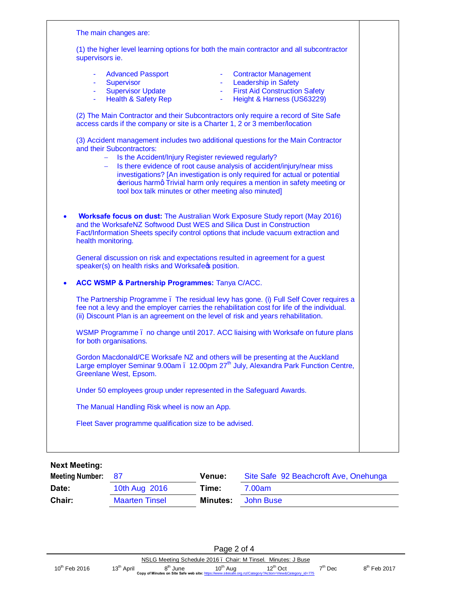| The main changes are:                                                                                                                                                                                                                                                                                                                                                                                                                                             |
|-------------------------------------------------------------------------------------------------------------------------------------------------------------------------------------------------------------------------------------------------------------------------------------------------------------------------------------------------------------------------------------------------------------------------------------------------------------------|
| (1) the higher level learning options for both the main contractor and all subcontractor<br>supervisors ie.                                                                                                                                                                                                                                                                                                                                                       |
| <b>Advanced Passport</b><br>- Contractor Management<br><b>Leadership in Safety</b><br>Supervisor<br>$\omega_{\rm{max}}$<br>A.<br><b>Supervisor Update</b><br><b>First Aid Construction Safety</b><br>$\omega_{\rm{max}}$<br>A.<br>- Health & Safety Rep<br>Height & Harness (US63229)<br>(2) The Main Contractor and their Subcontractors only require a record of Site Safe<br>access cards if the company or site is a Charter 1, 2 or 3 member/location        |
| (3) Accident management includes two additional questions for the Main Contractor<br>and their Subcontractors:<br>- Is the Accident/Injury Register reviewed regularly?<br>Is there evidence of root cause analysis of accident/injury/near miss<br>investigations? [An investigation is only required for actual or potential<br>serious harmq Trivial harm only requires a mention in safety meeting or<br>tool box talk minutes or other meeting also minuted] |
| <b>Worksafe focus on dust:</b> The Australian Work Exposure Study report (May 2016)<br>and the WorksafeNZ Softwood Dust WES and Silica Dust in Construction<br>Fact/Information Sheets specify control options that include vacuum extraction and<br>health monitoring.                                                                                                                                                                                           |
| General discussion on risk and expectations resulted in agreement for a guest<br>speaker(s) on health risks and Worksafect position.                                                                                                                                                                                                                                                                                                                              |
| ACC WSMP & Partnership Programmes: Tanya C/ACC.                                                                                                                                                                                                                                                                                                                                                                                                                   |
| The Partnership Programme. The residual levy has gone. (i) Full Self Cover requires a<br>fee not a levy and the employer carries the rehabilitation cost for life of the individual.<br>(ii) Discount Plan is an agreement on the level of risk and years rehabilitation.                                                                                                                                                                                         |
| WSMP Programme . no change until 2017. ACC liaising with Worksafe on future plans<br>for both organisations.                                                                                                                                                                                                                                                                                                                                                      |
| Gordon Macdonald/CE Worksafe NZ and others will be presenting at the Auckland<br>Large employer Seminar 9.00am . 12.00pm 27 <sup>th</sup> July, Alexandra Park Function Centre,<br>Greenlane West, Epsom.                                                                                                                                                                                                                                                         |
| Under 50 employees group under represented in the Safeguard Awards.                                                                                                                                                                                                                                                                                                                                                                                               |
| The Manual Handling Risk wheel is now an App.                                                                                                                                                                                                                                                                                                                                                                                                                     |
| Fleet Saver programme qualification size to be advised.                                                                                                                                                                                                                                                                                                                                                                                                           |
|                                                                                                                                                                                                                                                                                                                                                                                                                                                                   |

**Next Meeting:**

| <b>Meeting Number:</b> | - 87                  | <b>Venue:</b>   | Site Safe 92 Beachcroft Ave, Onehunga |
|------------------------|-----------------------|-----------------|---------------------------------------|
| Date:                  | 10th Aug 2016         | Time:           | 7.00am                                |
| Chair:                 | <b>Maarten Tinsel</b> | <b>Minutes:</b> | John Buse                             |

|                           |                        |                                           | Page 2 of 4 |                                                                                                                                 |           |                |
|---------------------------|------------------------|-------------------------------------------|-------------|---------------------------------------------------------------------------------------------------------------------------------|-----------|----------------|
|                           |                        |                                           |             | NSLG Meeting Schedule 2016. Chair: M Tinsel. Minutes: J Buse                                                                    |           |                |
| $10^{\text{th}}$ Feb 2016 | 13 <sup>th</sup> April | 8 <sup>th</sup> June 10 <sup>th</sup> Aug |             | $12^{\text{th}}$ Oct<br>Copy of Minutes on Site Safe web site: https://www.sitesafe.org.nz/Category?Action=View&Category id=775 | $7th$ Dec | $8th$ Feb 2017 |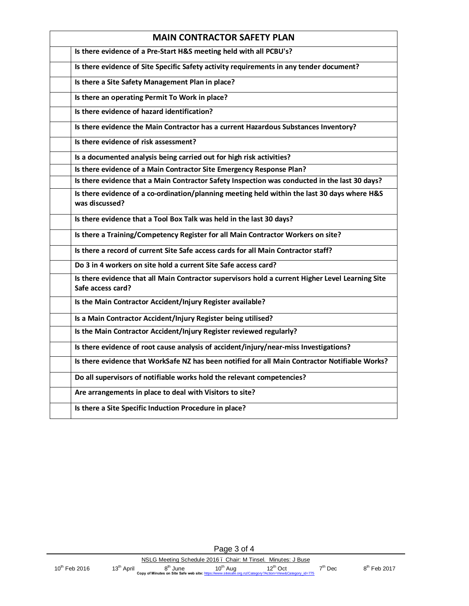| <b>MAIN CONTRACTOR SAFETY PLAN</b>                                                                                    |  |
|-----------------------------------------------------------------------------------------------------------------------|--|
| Is there evidence of a Pre-Start H&S meeting held with all PCBU's?                                                    |  |
| Is there evidence of Site Specific Safety activity requirements in any tender document?                               |  |
| Is there a Site Safety Management Plan in place?                                                                      |  |
| Is there an operating Permit To Work in place?                                                                        |  |
| Is there evidence of hazard identification?                                                                           |  |
| Is there evidence the Main Contractor has a current Hazardous Substances Inventory?                                   |  |
| Is there evidence of risk assessment?                                                                                 |  |
| Is a documented analysis being carried out for high risk activities?                                                  |  |
| Is there evidence of a Main Contractor Site Emergency Response Plan?                                                  |  |
| Is there evidence that a Main Contractor Safety Inspection was conducted in the last 30 days?                         |  |
| Is there evidence of a co-ordination/planning meeting held within the last 30 days where H&S<br>was discussed?        |  |
| Is there evidence that a Tool Box Talk was held in the last 30 days?                                                  |  |
| Is there a Training/Competency Register for all Main Contractor Workers on site?                                      |  |
| Is there a record of current Site Safe access cards for all Main Contractor staff?                                    |  |
| Do 3 in 4 workers on site hold a current Site Safe access card?                                                       |  |
| Is there evidence that all Main Contractor supervisors hold a current Higher Level Learning Site<br>Safe access card? |  |
| Is the Main Contractor Accident/Injury Register available?                                                            |  |
| Is a Main Contractor Accident/Injury Register being utilised?                                                         |  |
| Is the Main Contractor Accident/Injury Register reviewed regularly?                                                   |  |
| Is there evidence of root cause analysis of accident/injury/near-miss Investigations?                                 |  |
| Is there evidence that WorkSafe NZ has been notified for all Main Contractor Notifiable Works?                        |  |
| Do all supervisors of notifiable works hold the relevant competencies?                                                |  |
| Are arrangements in place to deal with Visitors to site?                                                              |  |
| Is there a Site Specific Induction Procedure in place?                                                                |  |